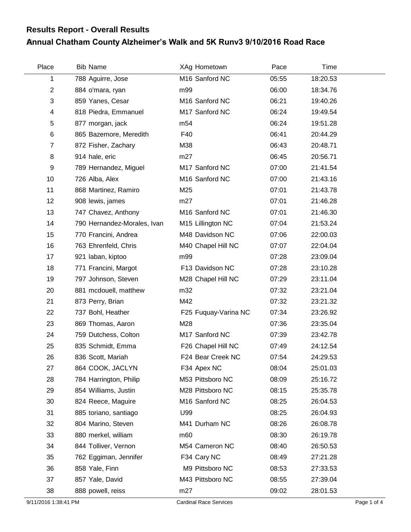## **Annual Chatham County Alzheimer's Walk and 5K Runv3 9/10/2016 Road Race Results Report - Overall Results**

| Place          | <b>Bib Name</b>             | XAg Hometown         | Pace  | Time     |  |
|----------------|-----------------------------|----------------------|-------|----------|--|
| 1              | 788 Aguirre, Jose           | M16 Sanford NC       | 05:55 | 18:20.53 |  |
| $\overline{2}$ | 884 o'mara, ryan            | m99                  | 06:00 | 18:34.76 |  |
| 3              | 859 Yanes, Cesar            | M16 Sanford NC       | 06:21 | 19:40.26 |  |
| 4              | 818 Piedra, Emmanuel        | M17 Sanford NC       | 06:24 | 19:49.54 |  |
| 5              | 877 morgan, jack            | m <sub>54</sub>      | 06:24 | 19:51.28 |  |
| $\,6$          | 865 Bazemore, Meredith      | F40                  | 06:41 | 20:44.29 |  |
| $\overline{7}$ | 872 Fisher, Zachary         | M38                  | 06:43 | 20:48.71 |  |
| 8              | 914 hale, eric              | m27                  | 06:45 | 20:56.71 |  |
| 9              | 789 Hernandez, Miguel       | M17 Sanford NC       | 07:00 | 21:41.54 |  |
| 10             | 726 Alba, Alex              | M16 Sanford NC       | 07:00 | 21:43.16 |  |
| 11             | 868 Martinez, Ramiro        | M25                  | 07:01 | 21:43.78 |  |
| 12             | 908 lewis, james            | m27                  | 07:01 | 21:46.28 |  |
| 13             | 747 Chavez, Anthony         | M16 Sanford NC       | 07:01 | 21:46.30 |  |
| 14             | 790 Hernandez-Morales, Ivan | M15 Lillington NC    | 07:04 | 21:53.24 |  |
| 15             | 770 Francini, Andrea        | M48 Davidson NC      | 07:06 | 22:00.03 |  |
| 16             | 763 Ehrenfeld, Chris        | M40 Chapel Hill NC   | 07:07 | 22:04.04 |  |
| 17             | 921 laban, kiptoo           | m99                  | 07:28 | 23:09.04 |  |
| 18             | 771 Francini, Margot        | F13 Davidson NC      | 07:28 | 23:10.28 |  |
| 19             | 797 Johnson, Steven         | M28 Chapel Hill NC   | 07:29 | 23:11.04 |  |
| 20             | 881 mcdouell, matthew       | m32                  | 07:32 | 23:21.04 |  |
| 21             | 873 Perry, Brian            | M42                  | 07:32 | 23:21.32 |  |
| 22             | 737 Bohl, Heather           | F25 Fuquay-Varina NC | 07:34 | 23:26.92 |  |
| 23             | 869 Thomas, Aaron           | M28                  | 07:36 | 23:35.04 |  |
| 24             | 759 Dutchess, Colton        | M17 Sanford NC       | 07:39 | 23:42.78 |  |
| 25             | 835 Schmidt, Emma           | F26 Chapel Hill NC   | 07:49 | 24:12.54 |  |
| 26             | 836 Scott, Mariah           | F24 Bear Creek NC    | 07:54 | 24:29.53 |  |
| 27             | 864 COOK, JACLYN            | F34 Apex NC          | 08:04 | 25:01.03 |  |
| 28             | 784 Harrington, Philip      | M53 Pittsboro NC     | 08:09 | 25:16.72 |  |
| 29             | 854 Williams, Justin        | M28 Pittsboro NC     | 08:15 | 25:35.78 |  |
| 30             | 824 Reece, Maguire          | M16 Sanford NC       | 08:25 | 26:04.53 |  |
| 31             | 885 toriano, santiago       | U99                  | 08:25 | 26:04.93 |  |
| 32             | 804 Marino, Steven          | M41 Durham NC        | 08:26 | 26:08.78 |  |
| 33             | 880 merkel, william         | m60                  | 08:30 | 26:19.78 |  |
| 34             | 844 Tolliver, Vernon        | M54 Cameron NC       | 08:40 | 26:50.53 |  |
| 35             | 762 Eggiman, Jennifer       | F34 Cary NC          | 08:49 | 27:21.28 |  |
| 36             | 858 Yale, Finn              | M9 Pittsboro NC      | 08:53 | 27:33.53 |  |
| 37             | 857 Yale, David             | M43 Pittsboro NC     | 08:55 | 27:39.04 |  |
| 38             | 888 powell, reiss           | m27                  | 09:02 | 28:01.53 |  |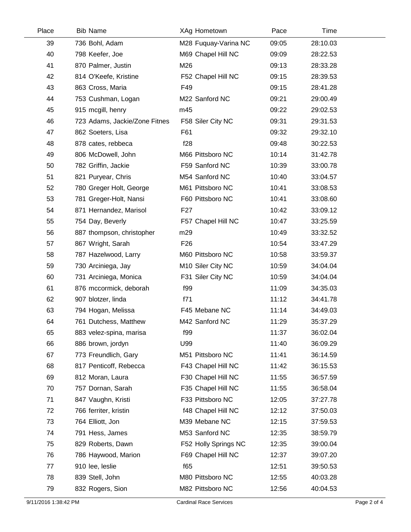| Place | <b>Bib Name</b>               | XAg Hometown         | Pace  | Time     |  |
|-------|-------------------------------|----------------------|-------|----------|--|
| 39    | 736 Bohl, Adam                | M28 Fuquay-Varina NC | 09:05 | 28:10.03 |  |
| 40    | 798 Keefer, Joe               | M69 Chapel Hill NC   | 09:09 | 28:22.53 |  |
| 41    | 870 Palmer, Justin            | M26                  | 09:13 | 28:33.28 |  |
| 42    | 814 O'Keefe, Kristine         | F52 Chapel Hill NC   | 09:15 | 28:39.53 |  |
| 43    | 863 Cross, Maria              | F49                  | 09:15 | 28:41.28 |  |
| 44    | 753 Cushman, Logan            | M22 Sanford NC       | 09:21 | 29:00.49 |  |
| 45    | 915 mcgill, henry             | m45                  | 09:22 | 29:02.53 |  |
| 46    | 723 Adams, Jackie/Zone Fitnes | F58 Siler City NC    | 09:31 | 29:31.53 |  |
| 47    | 862 Soeters, Lisa             | F61                  | 09:32 | 29:32.10 |  |
| 48    | 878 cates, rebbeca            | f28                  | 09:48 | 30:22.53 |  |
| 49    | 806 McDowell, John            | M66 Pittsboro NC     | 10:14 | 31:42.78 |  |
| 50    | 782 Griffin, Jackie           | F59 Sanford NC       | 10:39 | 33:00.78 |  |
| 51    | 821 Puryear, Chris            | M54 Sanford NC       | 10:40 | 33:04.57 |  |
| 52    | 780 Greger Holt, George       | M61 Pittsboro NC     | 10:41 | 33:08.53 |  |
| 53    | 781 Greger-Holt, Nansi        | F60 Pittsboro NC     | 10:41 | 33:08.60 |  |
| 54    | 871 Hernandez, Marisol        | F <sub>27</sub>      | 10:42 | 33:09.12 |  |
| 55    | 754 Day, Beverly              | F57 Chapel Hill NC   | 10:47 | 33:25.59 |  |
| 56    | 887 thompson, christopher     | m29                  | 10:49 | 33:32.52 |  |
| 57    | 867 Wright, Sarah             | F <sub>26</sub>      | 10:54 | 33:47.29 |  |
| 58    | 787 Hazelwood, Larry          | M60 Pittsboro NC     | 10:58 | 33:59.37 |  |
| 59    | 730 Arciniega, Jay            | M10 Siler City NC    | 10:59 | 34:04.04 |  |
| 60    | 731 Arciniega, Monica         | F31 Siler City NC    | 10:59 | 34:04.04 |  |
| 61    | 876 mccormick, deborah        | f99                  | 11:09 | 34:35.03 |  |
| 62    | 907 blotzer, linda            | f71                  | 11:12 | 34:41.78 |  |
| 63    | 794 Hogan, Melissa            | F45 Mebane NC        | 11:14 | 34:49.03 |  |
| 64    | 761 Dutchess, Matthew         | M42 Sanford NC       | 11:29 | 35:37.29 |  |
| 65    | 883 velez-spina, marisa       | f99                  | 11:37 | 36:02.04 |  |
| 66    | 886 brown, jordyn             | U99                  | 11:40 | 36:09.29 |  |
| 67    | 773 Freundlich, Gary          | M51 Pittsboro NC     | 11:41 | 36:14.59 |  |
| 68    | 817 Penticoff, Rebecca        | F43 Chapel Hill NC   | 11:42 | 36:15.53 |  |
| 69    | 812 Moran, Laura              | F30 Chapel Hill NC   | 11:55 | 36:57.59 |  |
| 70    | 757 Dornan, Sarah             | F35 Chapel Hill NC   | 11:55 | 36:58.04 |  |
| 71    | 847 Vaughn, Kristi            | F33 Pittsboro NC     | 12:05 | 37:27.78 |  |
| 72    | 766 ferriter, kristin         | f48 Chapel Hill NC   | 12:12 | 37:50.03 |  |
| 73    | 764 Elliott, Jon              | M39 Mebane NC        | 12:15 | 37:59.53 |  |
| 74    | 791 Hess, James               | M53 Sanford NC       | 12:35 | 38:59.79 |  |
| 75    | 829 Roberts, Dawn             | F52 Holly Springs NC | 12:35 | 39:00.04 |  |
| 76    | 786 Haywood, Marion           | F69 Chapel Hill NC   | 12:37 | 39:07.20 |  |
| 77    | 910 lee, leslie               | f65                  | 12:51 | 39:50.53 |  |
| 78    | 839 Stell, John               | M80 Pittsboro NC     | 12:55 | 40:03.28 |  |
| 79    | 832 Rogers, Sion              | M82 Pittsboro NC     | 12:56 | 40:04.53 |  |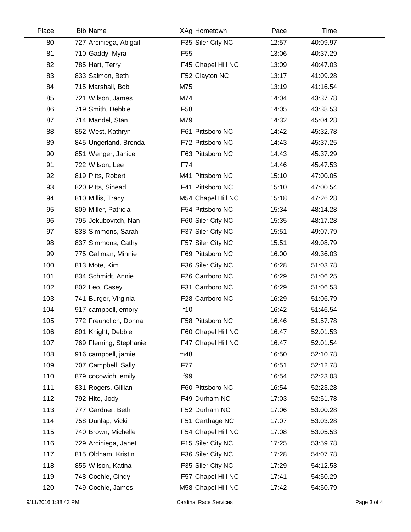| Place | <b>Bib Name</b>        | XAg Hometown       | Pace  | Time     |  |
|-------|------------------------|--------------------|-------|----------|--|
| 80    | 727 Arciniega, Abigail | F35 Siler City NC  | 12:57 | 40:09.97 |  |
| 81    | 710 Gaddy, Myra        | F <sub>55</sub>    | 13:06 | 40:37.29 |  |
| 82    | 785 Hart, Terry        | F45 Chapel Hill NC | 13:09 | 40:47.03 |  |
| 83    | 833 Salmon, Beth       | F52 Clayton NC     | 13:17 | 41:09.28 |  |
| 84    | 715 Marshall, Bob      | M75                | 13:19 | 41:16.54 |  |
| 85    | 721 Wilson, James      | M74                | 14:04 | 43:37.78 |  |
| 86    | 719 Smith, Debbie      | F <sub>58</sub>    | 14:05 | 43:38.53 |  |
| 87    | 714 Mandel, Stan       | M79                | 14:32 | 45:04.28 |  |
| 88    | 852 West, Kathryn      | F61 Pittsboro NC   | 14:42 | 45:32.78 |  |
| 89    | 845 Ungerland, Brenda  | F72 Pittsboro NC   | 14:43 | 45:37.25 |  |
| 90    | 851 Wenger, Janice     | F63 Pittsboro NC   | 14:43 | 45:37.29 |  |
| 91    | 722 Wilson, Lee        | F74                | 14:46 | 45:47.53 |  |
| 92    | 819 Pitts, Robert      | M41 Pittsboro NC   | 15:10 | 47:00.05 |  |
| 93    | 820 Pitts, Sinead      | F41 Pittsboro NC   | 15:10 | 47:00.54 |  |
| 94    | 810 Millis, Tracy      | M54 Chapel Hill NC | 15:18 | 47:26.28 |  |
| 95    | 809 Miller, Patricia   | F54 Pittsboro NC   | 15:34 | 48:14.28 |  |
| 96    | 795 Jekubovitch, Nan   | F60 Siler City NC  | 15:35 | 48:17.28 |  |
| 97    | 838 Simmons, Sarah     | F37 Siler City NC  | 15:51 | 49:07.79 |  |
| 98    | 837 Simmons, Cathy     | F57 Siler City NC  | 15:51 | 49:08.79 |  |
| 99    | 775 Gallman, Minnie    | F69 Pittsboro NC   | 16:00 | 49:36.03 |  |
| 100   | 813 Mote, Kim          | F36 Siler City NC  | 16:28 | 51:03.78 |  |
| 101   | 834 Schmidt, Annie     | F26 Carrboro NC    | 16:29 | 51:06.25 |  |
| 102   | 802 Leo, Casey         | F31 Carrboro NC    | 16:29 | 51:06.53 |  |
| 103   | 741 Burger, Virginia   | F28 Carrboro NC    | 16:29 | 51:06.79 |  |
| 104   | 917 campbell, emory    | f10                | 16:42 | 51:46.54 |  |
| 105   | 772 Freundlich, Donna  | F58 Pittsboro NC   | 16:46 | 51:57.78 |  |
| 106   | 801 Knight, Debbie     | F60 Chapel Hill NC | 16:47 | 52:01.53 |  |
| 107   | 769 Fleming, Stephanie | F47 Chapel Hill NC | 16:47 | 52:01.54 |  |
| 108   | 916 campbell, jamie    | m48                | 16:50 | 52:10.78 |  |
| 109   | 707 Campbell, Sally    | F77                | 16:51 | 52:12.78 |  |
| 110   | 879 cocowich, emily    | f99                | 16:54 | 52:23.03 |  |
| 111   | 831 Rogers, Gillian    | F60 Pittsboro NC   | 16:54 | 52:23.28 |  |
| 112   | 792 Hite, Jody         | F49 Durham NC      | 17:03 | 52:51.78 |  |
| 113   | 777 Gardner, Beth      | F52 Durham NC      | 17:06 | 53:00.28 |  |
| 114   | 758 Dunlap, Vicki      | F51 Carthage NC    | 17:07 | 53:03.28 |  |
| 115   | 740 Brown, Michelle    | F54 Chapel Hill NC | 17:08 | 53:05.53 |  |
| 116   | 729 Arciniega, Janet   | F15 Siler City NC  | 17:25 | 53:59.78 |  |
| 117   | 815 Oldham, Kristin    | F36 Siler City NC  | 17:28 | 54:07.78 |  |
| 118   | 855 Wilson, Katina     | F35 Siler City NC  | 17:29 | 54:12.53 |  |
| 119   | 748 Cochie, Cindy      | F57 Chapel Hill NC | 17:41 | 54:50.29 |  |
| 120   | 749 Cochie, James      | M58 Chapel Hill NC | 17:42 | 54:50.79 |  |